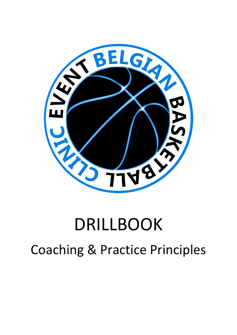

# DRILLBOOK Coaching & Practice Principles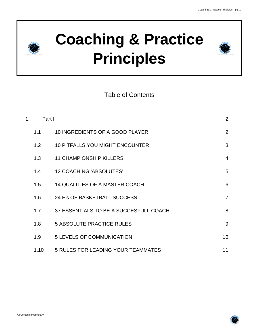



# Table of Contents

| 1 <sub>1</sub> | Part I |                                           | 2              |
|----------------|--------|-------------------------------------------|----------------|
|                | 1.1    | 10 INGREDIENTS OF A GOOD PLAYER           | 2              |
|                | 1.2    | <b>10 PITFALLS YOU MIGHT ENCOUNTER</b>    | 3              |
|                | 1.3    | <b>11 CHAMPIONSHIP KILLERS</b>            | $\overline{4}$ |
|                | 1.4    | <b>12 COACHING 'ABSOLUTES'</b>            | 5              |
|                | 1.5    | <b>14 QUALITIES OF A MASTER COACH</b>     | 6              |
|                | 1.6    | 24 E's OF BASKETBALL SUCCESS              | $\overline{7}$ |
|                | 1.7    | 37 ESSENTIALS TO BE A SUCCESFULL COACH    | 8              |
|                | 1.8    | <b>5 ABSOLUTE PRACTICE RULES</b>          | 9              |
|                | 1.9    | <b>5 LEVELS OF COMMUNICATION</b>          | 10             |
|                | 1.10   | <b>5 RULES FOR LEADING YOUR TEAMMATES</b> | 11             |

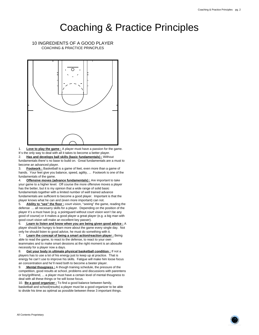## COACHING & PRACTICE PRINCPLES 10 INGREDIENTS OF A GOOD PLAYER



1. **Love to play the game :** A player must have a passion for the game. It's the only way to deal with all it takes to become a better player.

2. **Has and develops ball skills (basic fundamentals) :** Without fundamentals there's no base to build on. Great fundamentals are a must to become an advanced player.

3. **Footwork :** Basketball is a game of feet, even more than a game of hands. Your feet give you balance, speed, agility, ... Footwork is one of the fundamentals of the game.

4. **Offensive moves (advance fundamentals) :** Are important to take your game to a higher level. Off course the more offensive moves a player has the better, but it is my opinion that a wide range of solid basic fundamentals together with a limited number of well trained advance fundamentals are sufficient to become a good player. Important is that the player knows what he can and (even more important) can not.

5. **Ability to "see" the floor :** court vision, "seeing" the game, reading the defense ... all necesarry skills for a player. Depending on the position of the player it's a must have (e.g. a pointguard without court vision won't be any good of course) or it makes a good player a great player (e.g. a big man with good court vision will make an excellent key passer).

6. **Learn to listen and know when you are being given good advice :** A player should be hungry to learn more about the game every single day. Not only he should listen to good advice, he must do something with it.

7. **Learn the concept of being a smart action/reaction player :** Being able to read the game, to react to the defense, to react to your own teammates and to make smart dessions at the right moment is an abosulte necessity for a player now a days.

8. **Get your body in ultimate physical basketball condition :** If not a players has to use a lot of his energy just to keep up at practice. That is energy he can't use to improve his skills. Fatigue will make him loose focus an concentration and he'll need both to become a beeter player.

9. **Mental thougness :** A though training schedule, the pressure of the competition, good results at school, problems and discussions with parentens or boy/grilfriend, ... a player must have a certain level of mental thougness to deal with all these things or he will loose focus.

10. **Be a good organizer :** To find a good balance between family, basketball and school(results) a player must be a good organizer to be able to divide his time as optimal as possible between these 3 important things.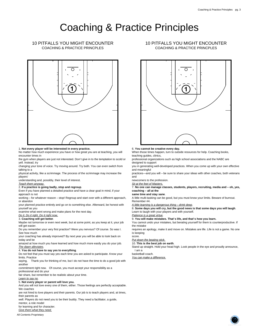## COACHING & PRACTICE PRINCPLES 10 PITFALLS YOU MIGHT ENCOUNTER



#### 1. **Not every player will be interested in every practice.**

No matter how much experience you have or how great you are at teaching, you will encounter times in

the gym when players are just not interested. Don't give in to the temptation to scold or yell. Instead, try

changing your tone of voice. Try moving around. Try both. You can even switch from talking to a

physical activity, like a scrimmage. The process of the scrimmage may increase the players'

understanding and, possibly, their level of interest.

Teach them anyway.

#### 2. **If a practice is going badly, stop and regroup**.

Even if you have planned a detailed practice and have a clear goal in mind, if your approach is not

working – for whatever reason – stop! Regroup and start over with a different approach, or abandon

your planned practice entirely and go on to something else. Afterward, be honest with yourself as you

examine what went wrong and make plans for the next day.

### Do it. Do it right. Do it right now.

3. **Coaching will get better**.

Maybe not tomorrow or even next week, but at some point, as you keep at it, your job will get easier.

Do you remember your very first practice? Were you nervous? Of course. So was I. See how much

your coaching has already improved? By next year you will be able to look back on today and be

amazed at how much you have learned and how much more easily you do your job. The dawn alleviates.

#### 4. **You do not have to say yes to everything**.

Do not feel that you must say yes each time you are asked to participate. Know your limits. Practice

saying, Thank you for thinking of me, but I do not have the time to do a good job with another

commitment right now. Of course, you must accept your responsibility as a

professional and do your

fair share, but remember to be realistic about your time.

#### Learn to say no.

5. **Not every player or parent will love you.**

And you will not love every one of them, either. Those feelings are perfectly acceptable. We coaches

are not hired to love players and their parents. Our job is to teach players and, at times, their parents as

well. Players do not need you to be their buddy. They need a facilitator, a quide,

mentor, a role model

#### for learning and for character. Give them what they need.

All Contents Proprietary

### COACHING & PRACTICE PRINCPLES 10 PITFALLS YOU MIGHT ENCOUNTER



#### 6. **You cannot be creative every day.**

When those times happen, turn to outside resources for help. Coaching books, teaching guides, clinics,

professional organizations such as high school associations and the NABC are designed to support

you in generating well-developed practices. When you come up with your own effective and meaningful

practices—and you will – be sure to share your ideas with other coaches, both veterans and

newcomers to the profession.

Sit at the feet of Masters.

#### 7. **No one can manage classes, students, players, recruiting, media and – oh, yes, coaching – all at the**

**same time and stay sane**.

A little multi-tasking can be good, but you must know your limits. Beware of burnout. Remember #4.

A little learning is a dangerous thing – drink deep.

8. **Some days you will cry, but the good news is that some days you will laugh**. Learn to laugh with your players and with yourself. Patience is a great virtue.

9. **You will make mistakes. That's life, and that's how you learn.**

You cannot undo your mistakes, but berating yourself for them is counterproductive. If the mistake

requires an apology, make it and move on. Mistakes are life. Life is not a game. No one is keeping

#### score.

Put down the beating stick.

10. **This is the best job on earth**.

Stand up straight. Hold your head high. Look people in the eye and proudly announce, I am a

#### basketball coach.

You can make a difference.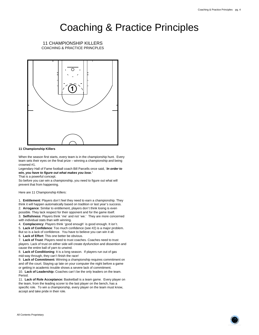COACHING & PRACTICE PRINCPLES 11 CHAMPIONSHIP KILLERS



#### **11 Championship Killers**

When the season first starts, every team is in the championship hunt. Every team sets their eyes on the final prize – winning a championship and being crowned #1.

Legendary Hall of Fame football coach Bill Parcells once said, '**In order to win, you have to figure out what makes you lose.'**

That is a powerful concept.

So before you can win a championship, you need to figure out what will prevent that from happening.

Here are 11 Championship Killers:

1. **Entitlement**: Players don't feel they need to earn a championship. They think it will happen automatically based on tradition or last year's success. 2. **Arrogance**: Similar to entitlement, players don't think losing is even possible. They lack respect for their opponent and for the game itself. 3. **Selfishness**: Players think 'me' and not 'we.' They are more concerned with individual stats than with winning.

4. **Complacency**: Players think 'good enough' is good enough. It isn't.

5. **Lack of Confidence**: Too much confidence (see #2) is a major problem. But so is a lack of confidence. You have to believe you can win it all.

6. **Lack of Effort**: This one better be obvious.

7. **Lack of Trust**: Players need to trust coaches. Coaches need to trust players. Lack of trust on either side will create dysfunction and dissention and cause the entire ball of yarn to unwind.

8. **Lack of Conditioning**: It is a long season. If players run out of gas mid-way through, they can't finish the race!

9. **Lack of Commitment:** Winning a championship requires commitment on and off the court. Staying up late on your computer the night before a game or getting in academic trouble shows a severe lack of commitment. 10. **Lack of Leadership:** Coaches can't be the only leaders on the team. Period.

11. **Lack of Role Acceptance:** Basketball is a team game. Every player on the team, from the leading scorer to the last player on the bench, has a specific role. To win a championship, every player on the team must know, accept and take pride in their role.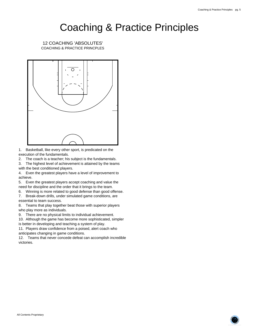COACHING & PRACTICE PRINCPLES 12 COACHING 'ABSOLUTES'



1. Basketball, like every other sport, is predicated on the execution of the fundamentals.

2. The coach is a teacher; his subject is the fundamentals.

3. The highest level of achievement is attained by the teams with the best conditioned players.

4. Even the greatest players have a level of improvement to achieve.

5. Even the greatest players accept coaching and value the need for discipline and the order that it brings to the team.

6. Winning is more related to good defense than good offense.

7. Break-down drills, under simulated game conditions, are essential to team success.

8. Teams that play together beat those with superior players who play more as individuals.

9. There are no physical limits to individual achievement.

10. Although the game has become more sophisticated, simpler

is better in developing and teaching a system of play.

11. Players draw confidence from a poised, alert coach who anticipates changing in game conditions.

12. Teams that never concede defeat can accomplish incredible victories.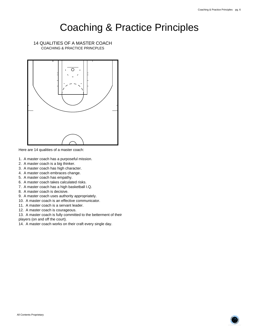COACHING & PRACTICE PRINCPLES 14 QUALITIES OF A MASTER COACH



Here are 14 qualities of a master coach:

- 1. A master coach has a purposeful mission.
- 2. A master coach is a big thinker.
- 3. A master coach has high character.
- 4. A master coach embraces change.
- 5. A master coach has empathy.
- 6. A master coach takes calculated risks.
- 7. A master coach has a high basketball I.Q.
- 8. A master coach is decisive.
- 9. A master coach uses authority appropriately.
- 10. A master coach is an effective communicator.
- 11. A master coach is a servant leader.
- 12. A master coach is courageous.

13. A master coach is fully committed to the betterment of their players (on and off the court).

14. A master coach works on their craft every single day.

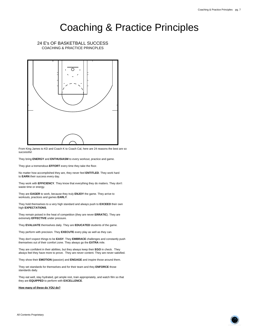COACHING & PRACTICE PRINCPLES 24 E's OF BASKETBALL SUCCESS



From King James to KD and Coach K to Coach Cal, here are 24 reasons the best are so successful:

They bring **ENERGY** and **ENTHUSIASM** to every workout, practice and game.

They give a tremendous **EFFORT** every time they take the floor.

No matter how accomplished they are, they never feel **ENTITLED**. They work hard to **EARN** their success every day.

They work with **EFFICIENCY**. They know that everything they do matters. They don't waste time or energy.

They are **EAGER** to work, because they truly **ENJOY** the game. They arrive to workouts, practices and games **EARLY**.

They hold themselves to a very high standard and always push to **EXCEED** their own high **EXPECTATIONS**.

They remain poised in the heat of competition (they are never **ERRATIC**). They are extremely **EFFECTIVE** under pressure.

They **EVALUATE** themselves daily. They are **EDUCATED** students of the game.

They perform with precision. They **EXECUTE** every play as well as they can.

They don't expect things to be **EASY**. They **EMBRACE** challenges and constantly push themselves out of their comfort zone. They always go the **EXTRA** mile.

They are confident in their abilities, but they always keep their **EGO** in check. They always feel they have more to prove. They are never content. They are never satisfied.

They show their **EMOTION** (passion) and **ENGAGE** and inspire those around them.

They set standards for themselves and for their team and they **ENFORCE** those standards daily.

They eat well, stay hydrated, get ample rest, train appropriately, and watch film so that they are **EQUIPPED** to perform with **EXCELLENCE**.

**How many of these do YOU do?**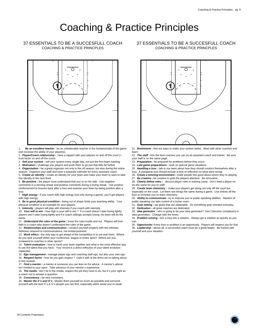## COACHING & PRACTICE PRINCPLES 37 ESSENTIALS TO BE A SUCCESFULL COACH



1. **Be an excellent teacher** : be an unbelievable teacher in the fundamentals of the game and increase the ability of your player(s).

- 1. **Player/Coach relationship :** have a rapport with your players on and off the court (= trust factor on and off the court)
- 
- 2. **Sell your system :** sell your system every single day, not just the first team meeting

3. **Motivation :** challenge you players and push them to go just that little bit further 4. **Organization :** be a great organizer not only in the off season, but also during the entire

season. Organize your staff and have a separate calendar for every assistant coach.

5. **Create an identity :** create an identity for your team and make your team to want to take this identity to the next level.

6. **Be positive :** the player must understand that you're on his side. Use negative comments in a winning streak and positive comments during a losing streak. Use positive reinforcement to bounce back after a loss and surprise your team by being positive after a loss.

7. **High energy :** if you coach with high energy (not only during a game), you'll get players with high energy

8. **Be in good physical condition :** being out of shape limits your teaching ability. Your physical condition is an example for your players.

9. **Intensity :** players will play with intensity if you coach with intensity.

10. **Your will to win :** how high is your will to win ? If a coach doesn't take losing lightly, players won't take losing lightly and if a coach willingly accepts losing, his team will do the same.

11. **Understand the rules of the game :** know the rules inside and out. Players will lose faith in a coach who doesn't understand the rules of the game.

12. **Relationships and communication :** conduct yourself properly with the referees. Referees respond to communications, not embarrassment.

13. **Work ethics :** the only way to get ahead of the competition is to out wok them. Where do you rank yourself within your conference, league or entire sport? Where are you compared to coaches in other sports?

14. **Talent evaluation :** how to mesh your team together and what is the most effective way to use the talent that you have. Your record is a direct reflection of your talent evolution capacities.

15. **Ego management :** manage player ego and coaching staff ego, but also your own ego. 16. **Respect factor :** how do you gain respect ? Gain it with al the items we're talking about in this module.

17. **Find a mentor :** a mentor is someone you can lean on for advice. A mentor's advice

isn't limited to your sport. Take advance of your mentor's experience.

18. **The media :** don't lie to the media, respect the job they have to do, but it's your right as a coach not to answer a question.

19. **Consistency :** be very consistent.

20. **Master the X's and O's :** Master them yourself as much as possible and surround yourself with the best X's & O's people you can find, especially within areas you're weak.

### COACHING & PRACTICE PRINCPLES 37 ESSENTIALS TO BE A SUCCESFULL COACH



21. **Brainstorm :** find out ways to make your system better. Meet with other coaches and learn.

22. **The staff :** hire the best coaches you can as an assistant coach and trainer. Be sure your staff is on the same page.

- 23. **Preparation :** be prepared for problems before they occur.
- 24. **Late game preparations :** work on special game situations
- 25. **Handling a loss :** talk to our team about how they should conduct themselves after a
- loss. A postgame loss should include a time of reflection on what went wrong
- 26. **Create a winning environment :** make people feel good about where they're playing.
- 27. **Be creative :** be creative to grab the players attention. Be innovative.

28. **Clearly define roles :** discuss player roles in training camp. Don't lead a player on. Do the same for you're staff.

29. **Create team chemistry :** make your players get along not only off the court but

especially on the court. Let them see things the same during a game. Use events off the floor to increase you're team chemistry.

30. **Ability to communicate :** try to improve you're public speaking abilities. Masters of public speaking can take control of a locker room.

31. **Goal setting :** set goals that are obtainable. Do something goal oriented everyday.

32. **Dedication :** all great coaches are dedicated.

33. **Idea generator :** who is going to be your idea generator? Don't become complacent in idea generation. Change with the times.

34. **Problem solving :** turn a loss into a solution. Always get a solution as quickly as you can.

35. **Opportunity:** Every loss or problem is an opportunity. Players will respect you for that.

36. **Leadership :** above all, a successful coach must be a great leader. Be honest with yourself and your situation.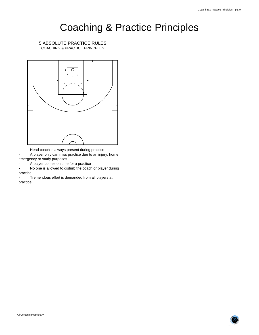COACHING & PRACTICE PRINCPLES 5 ABSOLUTE PRACTICE RULES



- Head coach is always present during practice

A player only can miss practice due to an injury, home emergency or study purposes

- A player comes on time for a practice

- No one is allowed to disturb the coach or player during practice

Tremendous effort is demanded from all players at practice.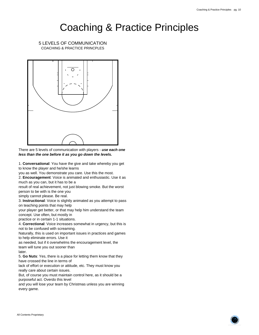COACHING & PRACTICE PRINCPLES 5 LEVELS OF COMMUNICATION



There are 5 levels of communication with players - **use each one less than the one before it as you go down the levels.**

1. **Conversational**: You have the give and take whereby you get to know the player and he/she learns

you as well. You demonstrate you care. Use this the most.

2. **Encouragement**: Voice is animated and enthusiastic. Use it as much as you can, but it has to be a

result of real achievement, not just blowing smoke. But the worst person to be with is the one you

simply cannot please. Be real.

3. **Instructional**: Voice is slightly animated as you attempt to pass on teaching points that may help

your player get better, or that may help him understand the team concept. Use often, but mostly in

practice or in certain 1-1 situations.

4. **Correctional**: Voice increases somewhat in urgency, but this is not to be confused with screaming.

Naturally, this is used on important issues in practices and games to help eliminate errors. Use it

as needed, but if it overwhelms the encouragement level, the team will tune you out sooner than

later.

5. **Go Nuts**: Yes, there is a place for letting them know that they have crossed the line in terms of

lack of effort or execution or attitude, etc. They must know you really care about certain issues.

But, of course you must maintain control here, as it should be a purposeful act. Overdo this level

and you will lose your team by Christmas unless you are winning every game.